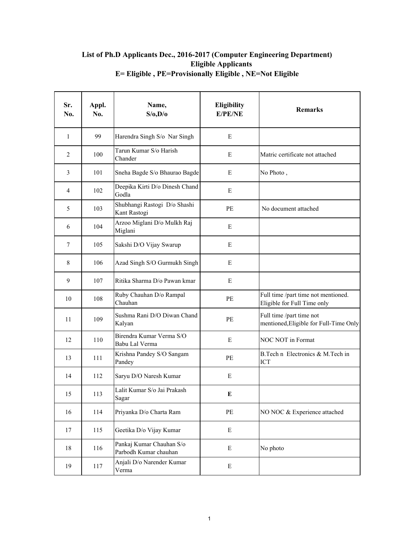## **List of Ph.D Applicants Dec., 2016-2017 (Computer Engineering Department) Eligible Applicants E= Eligible , PE=Provisionally Eligible , NE=Not Eligible**

| Sr.<br>No.     | Appl.<br>No. | Name,<br>S/O, D/O                                 | Eligibility<br>E/PE/NE | <b>Remarks</b>                                                     |
|----------------|--------------|---------------------------------------------------|------------------------|--------------------------------------------------------------------|
| 1              | 99           | Harendra Singh S/o Nar Singh                      | E                      |                                                                    |
| $\overline{2}$ | 100          | Tarun Kumar S/o Harish<br>Chander                 | E                      | Matric certificate not attached                                    |
| 3              | 101          | Sneha Bagde S/o Bhaurao Bagde                     | E                      | No Photo,                                                          |
| 4              | 102          | Deepika Kirti D/o Dinesh Chand<br>Godla           | E                      |                                                                    |
| 5              | 103          | Shubhangi Rastogi D/o Shashi<br>Kant Rastogi      | PE                     | No document attached                                               |
| 6              | 104          | Arzoo Miglani D/o Mulkh Raj<br>Miglani            | E                      |                                                                    |
| $\overline{7}$ | 105          | Sakshi D/O Vijay Swarup                           | E                      |                                                                    |
| 8              | 106          | Azad Singh S/O Gurmukh Singh                      | E                      |                                                                    |
| 9              | 107          | Ritika Sharma D/o Pawan kmar                      | E                      |                                                                    |
| 10             | 108          | Ruby Chauhan D/o Rampal<br>Chauhan                | PE                     | Full time /part time not mentioned.<br>Eligible for Full Time only |
| 11             | 109          | Sushma Rani D/O Diwan Chand<br>Kalyan             | PE                     | Full time /part time not<br>mentioned, Eligible for Full-Time Only |
| 12             | 110          | Birendra Kumar Verma S/O<br>Babu Lal Verma        | E                      | <b>NOC NOT in Format</b>                                           |
| 13             | 111          | Krishna Pandey S/O Sangam<br>Pandey               | PE                     | B.Tech n Electronics & M.Tech in<br>ICT                            |
| 14             | 112          | Saryu D/O Naresh Kumar                            | E                      |                                                                    |
| 15             | 113          | Lalit Kumar S/o Jai Prakash<br>Sagar              | E                      |                                                                    |
| 16             | 114          | Priyanka D/o Charta Ram                           | PE                     | NO NOC & Experience attached                                       |
| 17             | 115          | Geetika D/o Vijay Kumar                           | E                      |                                                                    |
| 18             | 116          | Pankaj Kumar Chauhan S/o<br>Parbodh Kumar chauhan | $\mathbf E$            | No photo                                                           |
| 19             | 117          | Anjali D/o Narender Kumar<br>Verma                | $\mathbf E$            |                                                                    |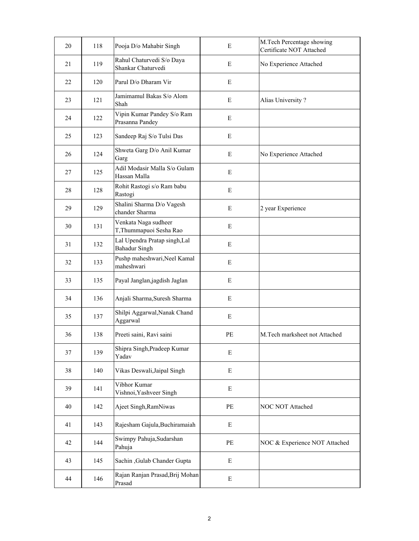| 20 | 118 | Pooja D/o Mahabir Singh                               | E           | M.Tech Percentage showing<br>Certificate NOT Attached |
|----|-----|-------------------------------------------------------|-------------|-------------------------------------------------------|
| 21 | 119 | Rahul Chaturvedi S/o Daya<br>Shankar Chaturvedi       | E           | No Experience Attached                                |
| 22 | 120 | Parul D/o Dharam Vir                                  | E           |                                                       |
| 23 | 121 | Jamimamul Bakas S/o Alom<br>Shah                      | E           | Alias University?                                     |
| 24 | 122 | Vipin Kumar Pandey S/o Ram<br>Prasanna Pandey         | ${\bf E}$   |                                                       |
| 25 | 123 | Sandeep Raj S/o Tulsi Das                             | ${\bf E}$   |                                                       |
| 26 | 124 | Shweta Garg D/o Anil Kumar<br>Garg                    | E           | No Experience Attached                                |
| 27 | 125 | Adil Modasir Malla S/o Gulam<br>Hassan Malla          | E           |                                                       |
| 28 | 128 | Rohit Rastogi s/o Ram babu<br>Rastogi                 | E           |                                                       |
| 29 | 129 | Shalini Sharma D/o Vagesh<br>chander Sharma           | E           | 2 year Experience                                     |
| 30 | 131 | Venkata Naga sudheer<br>T, Thummapuoi Sesha Rao       | ${\bf E}$   |                                                       |
| 31 | 132 | Lal Upendra Pratap singh, Lal<br><b>Bahadur Singh</b> | E           |                                                       |
| 32 | 133 | Pushp maheshwari, Neel Kamal<br>maheshwari            | ${\bf E}$   |                                                       |
| 33 | 135 | Payal Janglan, jagdish Jaglan                         | E           |                                                       |
| 34 | 136 | Anjali Sharma, Suresh Sharma                          | $\mathbf E$ |                                                       |
| 35 | 137 | Shilpi Aggarwal, Nanak Chand<br>Aggarwal              | ${\bf E}$   |                                                       |
| 36 | 138 | Preeti saini, Ravi saini                              | PE          | M.Tech marksheet not Attached                         |
| 37 | 139 | Shipra Singh, Pradeep Kumar<br>Yadav                  | ${\bf E}$   |                                                       |
| 38 | 140 | Vikas Deswali, Jaipal Singh                           | E           |                                                       |
| 39 | 141 | Vibhor Kumar<br>Vishnoi, Yashveer Singh               | E           |                                                       |
| 40 | 142 | Ajeet Singh, RamNiwas                                 | PE          | NOC NOT Attached                                      |
| 41 | 143 | Rajesham Gajula, Buchiramaiah                         | ${\bf E}$   |                                                       |
| 42 | 144 | Swimpy Pahuja, Sudarshan<br>Pahuja                    | PE          | NOC & Experience NOT Attached                         |
| 43 | 145 | Sachin , Gulab Chander Gupta                          | E           |                                                       |
| 44 | 146 | Rajan Ranjan Prasad, Brij Mohan<br>Prasad             | ${\bf E}$   |                                                       |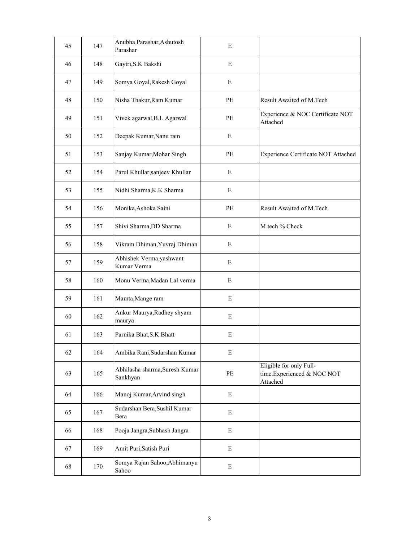| 45 | 147 | Anubha Parashar, Ashutosh<br>Parashar      | E           |                                                                   |
|----|-----|--------------------------------------------|-------------|-------------------------------------------------------------------|
| 46 | 148 | Gaytri, S.K Bakshi                         | E           |                                                                   |
| 47 | 149 | Somya Goyal, Rakesh Goyal                  | E           |                                                                   |
| 48 | 150 | Nisha Thakur, Ram Kumar                    | PE          | Result Awaited of M.Tech                                          |
| 49 | 151 | Vivek agarwal, B.L Agarwal                 | PE          | Experience & NOC Certificate NOT<br>Attached                      |
| 50 | 152 | Deepak Kumar, Nanu ram                     | E           |                                                                   |
| 51 | 153 | Sanjay Kumar, Mohar Singh                  | PE          | Experience Certificate NOT Attached                               |
| 52 | 154 | Parul Khullar, sanjeev Khullar             | E           |                                                                   |
| 53 | 155 | Nidhi Sharma, K.K Sharma                   | ${\bf E}$   |                                                                   |
| 54 | 156 | Monika, Ashoka Saini                       | PE          | Result Awaited of M.Tech                                          |
| 55 | 157 | Shivi Sharma, DD Sharma                    | ${\bf E}$   | M tech % Check                                                    |
| 56 | 158 | Vikram Dhiman, Yuvraj Dhiman               | E           |                                                                   |
| 57 | 159 | Abhishek Verma, yashwant<br>Kumar Verma    | E           |                                                                   |
| 58 | 160 | Monu Verma, Madan Lal verma                | ${\bf E}$   |                                                                   |
| 59 | 161 | Mamta, Mange ram                           | ${\bf E}$   |                                                                   |
| 60 | 162 | Ankur Maurya, Radhey shyam<br>maurya       | E           |                                                                   |
| 61 | 163 | Parnika Bhat, S.K Bhatt                    | E           |                                                                   |
| 62 | 164 | Ambika Rani, Sudarshan Kumar               | E           |                                                                   |
| 63 | 165 | Abhilasha sharma, Suresh Kumar<br>Sankhyan | $\rm PE$    | Eligible for only Full-<br>time.Experienced & NOC NOT<br>Attached |
| 64 | 166 | Manoj Kumar, Arvind singh                  | ${\bf E}$   |                                                                   |
| 65 | 167 | Sudarshan Bera, Sushil Kumar<br>Bera       | ${\bf E}$   |                                                                   |
| 66 | 168 | Pooja Jangra, Subhash Jangra               | ${\bf E}$   |                                                                   |
| 67 | 169 | Amit Puri, Satish Puri                     | ${\bf E}$   |                                                                   |
| 68 | 170 | Somya Rajan Sahoo, Abhimanyu<br>Sahoo      | $\mathbf E$ |                                                                   |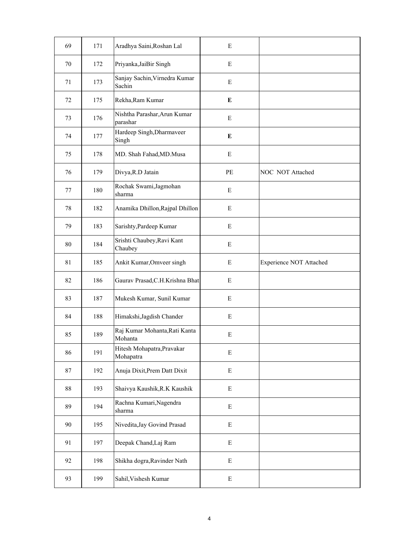| 69 | 171 | Aradhya Saini, Roshan Lal                | ${\bf E}$   |                                |
|----|-----|------------------------------------------|-------------|--------------------------------|
| 70 | 172 | Priyanka, JaiBir Singh                   | ${\bf E}$   |                                |
| 71 | 173 | Sanjay Sachin, Virnedra Kumar<br>Sachin  | E           |                                |
| 72 | 175 | Rekha, Ram Kumar                         | E           |                                |
| 73 | 176 | Nishtha Parashar, Arun Kumar<br>parashar | ${\bf E}$   |                                |
| 74 | 177 | Hardeep Singh, Dharmaveer<br>Singh       | ${\bf E}$   |                                |
| 75 | 178 | MD. Shah Fahad, MD. Musa                 | $\mathbf E$ |                                |
| 76 | 179 | Divya, R.D Jatain                        | PE          | NOC NOT Attached               |
| 77 | 180 | Rochak Swami, Jagmohan<br>sharma         | ${\bf E}$   |                                |
| 78 | 182 | Anamika Dhillon, Rajpal Dhillon          | E           |                                |
| 79 | 183 | Sarishty, Pardeep Kumar                  | ${\bf E}$   |                                |
| 80 | 184 | Srishti Chaubey, Ravi Kant<br>Chaubey    | ${\bf E}$   |                                |
| 81 | 185 | Ankit Kumar, Omveer singh                | E           | <b>Experience NOT Attached</b> |
| 82 | 186 | Gaurav Prasad, C.H. Krishna Bhat         | ${\bf E}$   |                                |
| 83 | 187 | Mukesh Kumar, Sunil Kumar                | ${\bf E}$   |                                |
| 84 | 188 | Himakshi, Jagdish Chander                | E           |                                |
| 85 | 189 | Raj Kumar Mohanta, Rati Kanta<br>Mohanta | ${\bf E}$   |                                |
| 86 | 191 | Hitesh Mohapatra, Pravakar<br>Mohapatra  | ${\bf E}$   |                                |
| 87 | 192 | Anuja Dixit, Prem Datt Dixit             | ${\bf E}$   |                                |
| 88 | 193 | Shaivya Kaushik, R.K Kaushik             | ${\bf E}$   |                                |
| 89 | 194 | Rachna Kumari, Nagendra<br>sharma        | ${\bf E}$   |                                |
| 90 | 195 | Nivedita, Jay Govind Prasad              | ${\bf E}$   |                                |
| 91 | 197 | Deepak Chand, Laj Ram                    | ${\bf E}$   |                                |
| 92 | 198 | Shikha dogra, Ravinder Nath              | ${\bf E}$   |                                |
| 93 | 199 | Sahil, Vishesh Kumar                     | ${\bf E}$   |                                |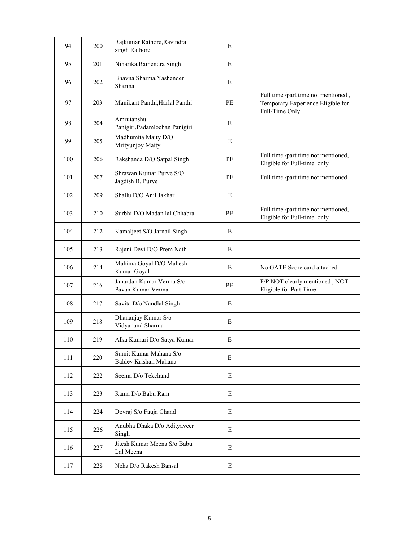| 94  | 200 | Rajkumar Rathore, Ravindra<br>singh Rathore     | E         |                                                                                             |
|-----|-----|-------------------------------------------------|-----------|---------------------------------------------------------------------------------------------|
| 95  | 201 | Niharika, Ramendra Singh                        | E         |                                                                                             |
| 96  | 202 | Bhavna Sharma, Yashender<br>Sharma              | E         |                                                                                             |
| 97  | 203 | Manikant Panthi, Harlal Panthi                  | PE        | Full time /part time not mentioned,<br>Temporary Experience. Eligible for<br>Full-Time Only |
| 98  | 204 | Amrutanshu<br>Panigiri, Padamlochan Panigiri    | E         |                                                                                             |
| 99  | 205 | Madhumita Maity D/O<br>Mrityunjoy Maity         | E         |                                                                                             |
| 100 | 206 | Rakshanda D/O Satpal Singh                      | PE        | Full time /part time not mentioned,<br>Eligible for Full-time only                          |
| 101 | 207 | Shrawan Kumar Purve S/O<br>Jagdish B. Purve     | PE        | Full time /part time not mentioned                                                          |
| 102 | 209 | Shallu D/O Anil Jakhar                          | E         |                                                                                             |
| 103 | 210 | Surbhi D/O Madan lal Chhabra                    | PE        | Full time /part time not mentioned,<br>Eligible for Full-time only                          |
| 104 | 212 | Kamaljeet S/O Jarnail Singh                     | E         |                                                                                             |
| 105 | 213 | Rajani Devi D/O Prem Nath                       | E         |                                                                                             |
| 106 | 214 | Mahima Goyal D/O Mahesh<br>Kumar Goyal          | E         | No GATE Score card attached                                                                 |
| 107 | 216 | Janardan Kumar Verma S/o<br>Pavan Kumar Verma   | PE        | F/P NOT clearly mentioned, NOT<br>Eligible for Part Time                                    |
| 108 | 217 | Savita D/o Nandlal Singh                        | E         |                                                                                             |
| 109 | 218 | Dhananjay Kumar S/o<br>Vidyanand Sharma         | ${\bf E}$ |                                                                                             |
| 110 | 219 | Alka Kumari D/o Satya Kumar                     | E         |                                                                                             |
| 111 | 220 | Sumit Kumar Mahana S/o<br>Baldev Krishan Mahana | E         |                                                                                             |
| 112 | 222 | Seema D/o Tekchand                              | E         |                                                                                             |
| 113 | 223 | Rama D/o Babu Ram                               | E         |                                                                                             |
| 114 | 224 | Devraj S/o Fauja Chand                          | E         |                                                                                             |
| 115 | 226 | Anubha Dhaka D/o Adityaveer<br>Singh            | E         |                                                                                             |
| 116 | 227 | Jitesh Kumar Meena S/o Babu<br>Lal Meena        | E         |                                                                                             |
| 117 | 228 | Neha D/o Rakesh Bansal                          | ${\bf E}$ |                                                                                             |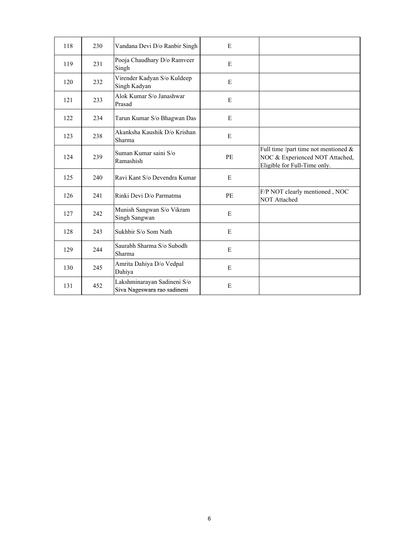| 118 | 230 | Vandana Devi D/o Ranbir Singh                              | E  |                                                                                                            |
|-----|-----|------------------------------------------------------------|----|------------------------------------------------------------------------------------------------------------|
| 119 | 231 | Pooja Chaudhary D/o Ramveer<br>Singh                       | E  |                                                                                                            |
| 120 | 232 | Virender Kadyan S/o Kuldeep<br>Singh Kadyan                | E  |                                                                                                            |
| 121 | 233 | Alok Kumar S/o Janashwar<br>Prasad                         | E  |                                                                                                            |
| 122 | 234 | Tarun Kumar S/o Bhagwan Das                                | E  |                                                                                                            |
| 123 | 238 | Akanksha Kaushik D/o Krishan<br>Sharma                     | E  |                                                                                                            |
| 124 | 239 | Suman Kumar saini S/o<br>Ramashish                         | PE | Full time /part time not mentioned $\&$<br>NOC & Experienced NOT Attached,<br>Eligible for Full-Time only. |
| 125 | 240 | Ravi Kant S/o Devendra Kumar                               | E  |                                                                                                            |
| 126 | 241 | Rinki Devi D/o Parmatma                                    | PE | F/P NOT clearly mentioned, NOC<br><b>NOT Attached</b>                                                      |
| 127 | 242 | Munish Sangwan S/o Vikram<br>Singh Sangwan                 | E  |                                                                                                            |
| 128 | 243 | Sukhbir S/o Som Nath                                       | E  |                                                                                                            |
| 129 | 244 | Saurabh Sharma S/o Subodh<br>Sharma                        | E  |                                                                                                            |
| 130 | 245 | Amrita Dahiya D/o Vedpal<br>Dahiya                         | E  |                                                                                                            |
| 131 | 452 | Lakshminarayan Sadineni S/o<br>Siva Nageswara rao sadineni | E  |                                                                                                            |